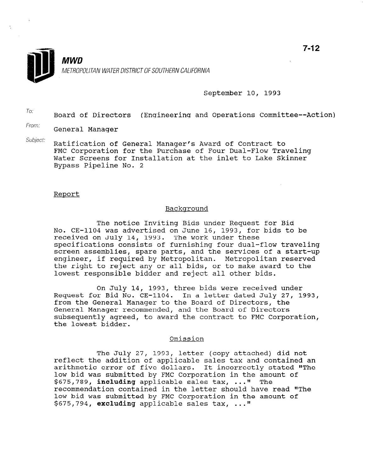

## September 10, 1993

 $T_{0}$ : Board of Directors (Engineering and Operations Committee--Action)

From: General Manager

Subject: Ratification of General Manager's Award of Contract to FMC Corporation for the Purchase of Four Dual-Flow Traveling Water Screens for Installation at the inlet to Lake Skinner Bypass Pipeline No. 2

#### Report

## Backqround

The notice Inviting Bids under Request for Bid No. CE-1104 was advertised on June 16, 1993, for bids to be received on July 14, 1993. The work under these specifications consists of furnishing four dual-flow traveling screen assemblies, spare parts, and the services of a start-up engineer, if required by Metropolitan. Metropolitan reserved the right to reject any or all bids, or to make award to the lowest responsible bidder and reject all other bids.

On July 14, 1993, three bids were received under Request for Bid No. CE-1104. In a letter dated July 27, 1993, from the General Manager to the Board of Directors, the General Manager recommended, and the Board of Directors subsequently agreed, to award the contract to FMC Corporation, the lowest bidder.

### Omission

The July 27, 1993, letter (copy attached) did not reflect the addition of applicable sales tax and contained an arithmetic error of five dollars. It incorrectly stated "The dritunmetic error of five dollars. It incorrectly stated<br>low bid was submitted by FMC Corporation in the amount of low bid was submitted by FMC Corporation in the amount of  $$675.789$ . **including** applicable sales tax, ..." The  $$675,789$ , including applicable sales tax, ..." recommendation contained in the letter should have read "The low bid was submitted by FMC Corporation in the amount of  $$675,794$ , excluding applicable sales tax, ..."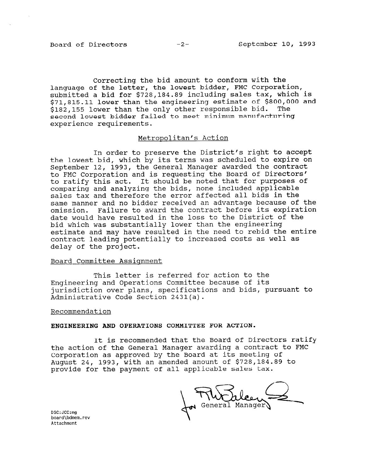Correcting the bid amount to conform with the language of the letter, the lowest bidder, FMC Corporation, submitted a bid for \$728,184.89 including sales tax, which is \$71,815.11 lower than the engineering estimate of \$800,000 and \$182,155 lower than the only other responsible bid. The second lowest bidder failed to meet minimum manufacturing experience requirements.

# Metropolitan's Action

In order to preserve the District's right to accept the lowest bid, which by its terms was scheduled to expire on September 12, 1993, the General Manager awarded the contract to FMC Corporation and is requesting the Board of Directors' to ratify this act. It should be noted that for purposes of comparing and analyzing the bids, none included applicable sales tax and therefore the error affected all bids in the same manner and no bidder received an advantage because of the omission. Failure to award the contract before its expiration date would have resulted in the loss to the District of the bid which was substantially lower than the engineering estimate and may have resulted in the need to rebid the entire contract leading potentially to increased costs as well as delay of the project.

# Board Committee Assignment

This letter is referred for action to the Engineering and Operations Committee because of its jurisdiction over plans, specifications and bids, pursuant to Administrative Code Section 2431(a).

#### Recommendation

# ENGINEERING AND OPERATIONS COMMITTEE FOR ACTION.

It is recommended that the Board of Directors ratify the action of the General Manager awarding a contract to FMC Corporation as approved by the Board at its meeting of Corporacion as approved by the board at its meeting of pugust 24, 1995, with an amended amount of 9720,104

General Manager)

board\bdmem.rev board\bdmem.rev<br>Attachment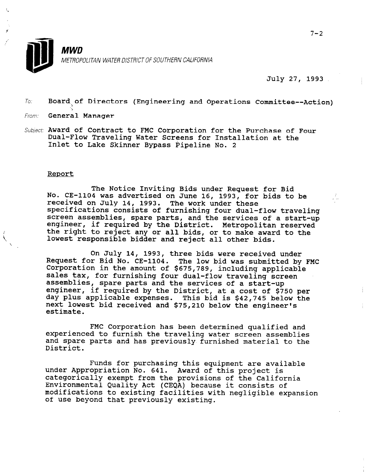

July 27, 1993

 $To:$  Board of Directors (Engineering and Operations Committee--Action)

# From: **General Manager**

Subject; Award of Contract to FMC Corporation for the Purchase of Four Dual-Flow Traveling Water Screens for Installation at the Inlet to Lake Skinner Bypass Pipeline No. 2

## Report

The Notice Inviting Bids under Request for Bid No. CE-1104 was advertised on June 16, 1993, for bids to be received on July 14, 1993. The work under these specifications consists of furnishing four dual-flow traveling screen assemblies, spare parts, and the services of a start-up exercen assemblies, spare parts, and the services of a start-<br>engineer, if required by the District. Metropolitan reserve the right to reject any or all bids, or to make award to the lowest responsible bidder and reject all other bids.

On July 14, 1993, three bids were received under **Request for Bid No. CE-1104** The low bid was submitted by FMC consider the amount of \$675,789, including applicable ssaperation in the debths of yors, os, including application zares can, for furnishing four duar-flow cravefling; abbombiton, spare parts and the services of a start-up<br>engineer, if required by the Dictrict, at a cost of \$750 per day plus applicable expenses. This bid is \$42,745 below the next lowest bid received and \$75,210 below the engineer nexe i<br>estimat

FMC Corporation has been determined qualified and experienced to furnish the traveling water screen assemblies and spare parts and has previously furnished material to the ana sj

Funds for purchasing this equipment are available runds for purchasing chis equipment are available.<br>This project is not this project is under Appropriation No. 041. Award of this project is Environmental Quality Act (CEQA) because it consists of Environmental Quality Act (CEQA) because it consists of modifications to existing facilities with negligible expansion<br>of use beyond that previously existing.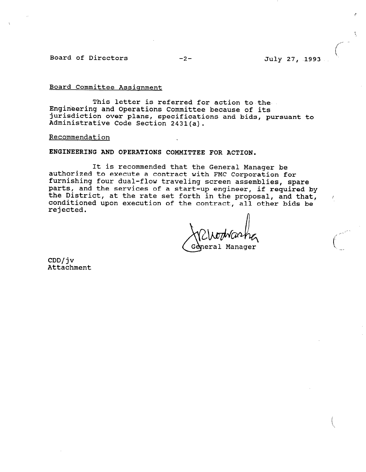Board of Directors -2- July 27, 1993

# Board Committee Assignment

This letter is referred for action to the Engineering and Operations Committee because of its jurisdiction over plans, specifications and bids, pursuant to Administrative Code Section 2431(a).

#### Recommendation

ENGINEERING AND OPERATIONS COMMITTEE FOR ACTION.

It is recommended that the General Manager be authorized to execute a contract with FMC Corporation for furnishing four dual-flow traveling screen assemblies, spare parts, and the services of a start-up engineer, if required by the District, at the rate set forth in the proposal, and that, conditioned upon execution of the contract, all other bids be rejected.

II General Manager

CDD/jv Attachment